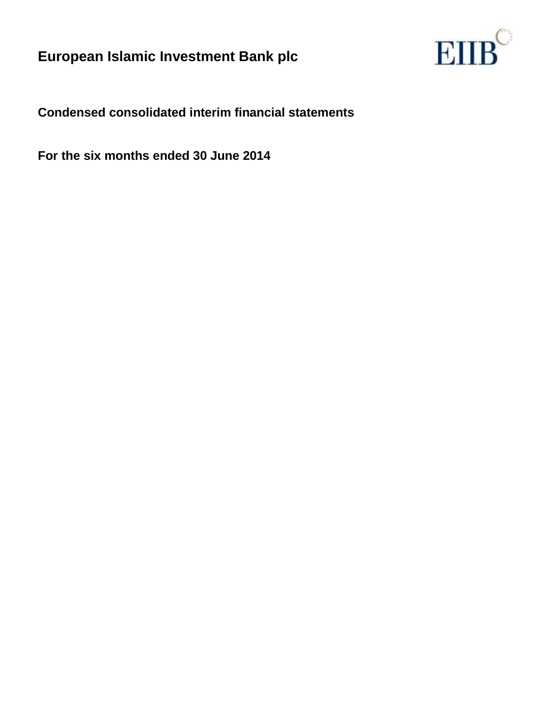

**Condensed consolidated interim financial statements**

**For the six months ended 30 June 2014**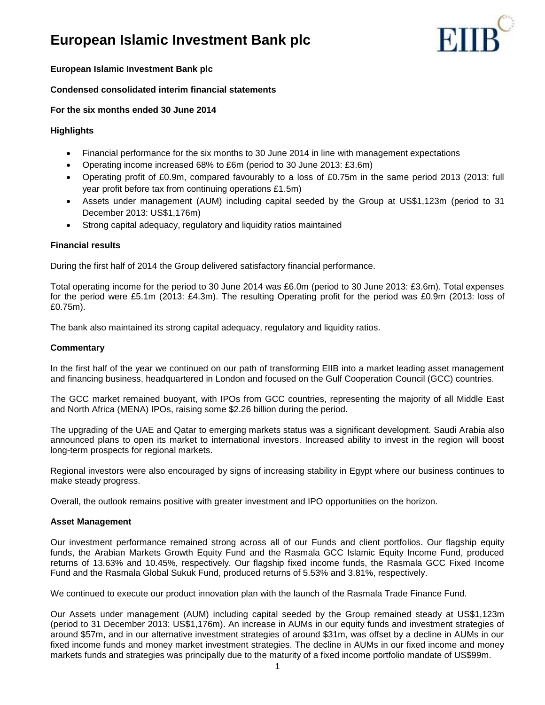

## **European Islamic Investment Bank plc**

## **Condensed consolidated interim financial statements**

## **For the six months ended 30 June 2014**

## **Highlights**

- Financial performance for the six months to 30 June 2014 in line with management expectations
- Operating income increased 68% to £6m (period to 30 June 2013: £3.6m)
- Operating profit of £0.9m, compared favourably to a loss of £0.75m in the same period 2013 (2013: full year profit before tax from continuing operations £1.5m)
- Assets under management (AUM) including capital seeded by the Group at US\$1,123m (period to 31 December 2013: US\$1,176m)
- Strong capital adequacy, regulatory and liquidity ratios maintained

### **Financial results**

During the first half of 2014 the Group delivered satisfactory financial performance.

Total operating income for the period to 30 June 2014 was £6.0m (period to 30 June 2013: £3.6m). Total expenses for the period were £5.1m (2013: £4.3m). The resulting Operating profit for the period was £0.9m (2013: loss of £0.75m).

The bank also maintained its strong capital adequacy, regulatory and liquidity ratios.

## **Commentary**

In the first half of the year we continued on our path of transforming EIIB into a market leading asset management and financing business, headquartered in London and focused on the Gulf Cooperation Council (GCC) countries.

The GCC market remained buoyant, with IPOs from GCC countries, representing the majority of all Middle East and North Africa (MENA) IPOs, raising some \$2.26 billion during the period.

The upgrading of the UAE and Qatar to emerging markets status was a significant development. Saudi Arabia also announced plans to open its market to international investors. Increased ability to invest in the region will boost long-term prospects for regional markets.

Regional investors were also encouraged by signs of increasing stability in Egypt where our business continues to make steady progress.

Overall, the outlook remains positive with greater investment and IPO opportunities on the horizon.

### **Asset Management**

Our investment performance remained strong across all of our Funds and client portfolios. Our flagship equity funds, the Arabian Markets Growth Equity Fund and the Rasmala GCC Islamic Equity Income Fund, produced returns of 13.63% and 10.45%, respectively. Our flagship fixed income funds, the Rasmala GCC Fixed Income Fund and the Rasmala Global Sukuk Fund, produced returns of 5.53% and 3.81%, respectively.

We continued to execute our product innovation plan with the launch of the Rasmala Trade Finance Fund.

Our Assets under management (AUM) including capital seeded by the Group remained steady at US\$1,123m (period to 31 December 2013: US\$1,176m). An increase in AUMs in our equity funds and investment strategies of around \$57m, and in our alternative investment strategies of around \$31m, was offset by a decline in AUMs in our fixed income funds and money market investment strategies. The decline in AUMs in our fixed income and money markets funds and strategies was principally due to the maturity of a fixed income portfolio mandate of US\$99m.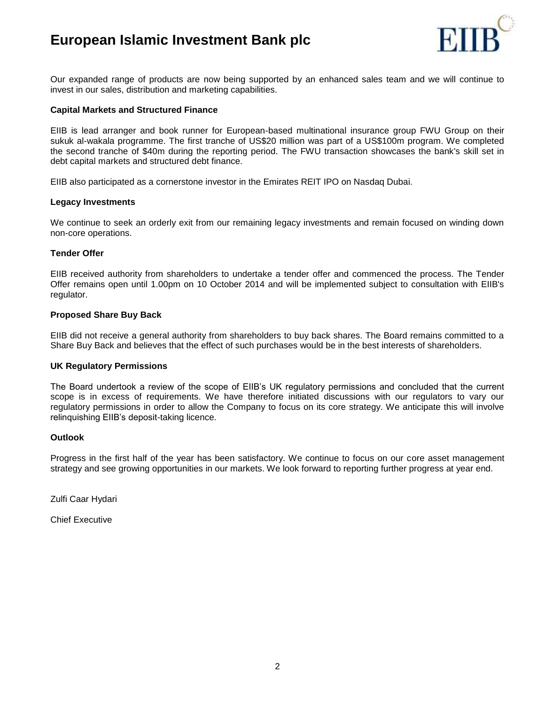

Our expanded range of products are now being supported by an enhanced sales team and we will continue to invest in our sales, distribution and marketing capabilities.

### **Capital Markets and Structured Finance**

EIIB is lead arranger and book runner for European-based multinational insurance group FWU Group on their sukuk al-wakala programme. The first tranche of US\$20 million was part of a US\$100m program. We completed the second tranche of \$40m during the reporting period. The FWU transaction showcases the bank's skill set in debt capital markets and structured debt finance.

EIIB also participated as a cornerstone investor in the Emirates REIT IPO on Nasdaq Dubai.

### **Legacy Investments**

We continue to seek an orderly exit from our remaining legacy investments and remain focused on winding down non-core operations.

### **Tender Offer**

EIIB received authority from shareholders to undertake a tender offer and commenced the process. The Tender Offer remains open until 1.00pm on 10 October 2014 and will be implemented subject to consultation with EIIB's regulator.

### **Proposed Share Buy Back**

EIIB did not receive a general authority from shareholders to buy back shares. The Board remains committed to a Share Buy Back and believes that the effect of such purchases would be in the best interests of shareholders.

#### **UK Regulatory Permissions**

The Board undertook a review of the scope of EIIB's UK regulatory permissions and concluded that the current scope is in excess of requirements. We have therefore initiated discussions with our regulators to vary our regulatory permissions in order to allow the Company to focus on its core strategy. We anticipate this will involve relinquishing EIIB's deposit-taking licence.

#### **Outlook**

Progress in the first half of the year has been satisfactory. We continue to focus on our core asset management strategy and see growing opportunities in our markets. We look forward to reporting further progress at year end.

Zulfi Caar Hydari

Chief Executive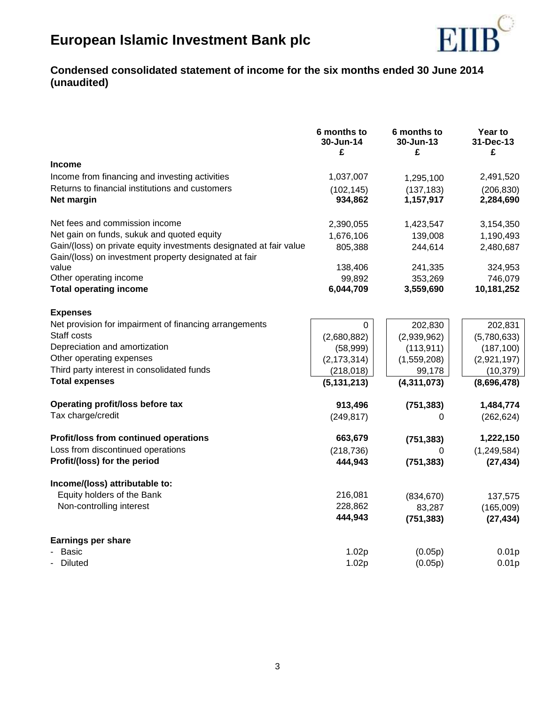

# **Condensed consolidated statement of income for the six months ended 30 June 2014 (unaudited)**

|                                                                                                                             | 6 months to<br>30-Jun-14<br>£ | 6 months to<br>30-Jun-13<br>£ | Year to<br>31-Dec-13<br>£ |
|-----------------------------------------------------------------------------------------------------------------------------|-------------------------------|-------------------------------|---------------------------|
| <b>Income</b>                                                                                                               |                               |                               |                           |
| Income from financing and investing activities                                                                              | 1,037,007                     | 1,295,100                     | 2,491,520                 |
| Returns to financial institutions and customers                                                                             | (102, 145)                    | (137, 183)                    | (206, 830)                |
| Net margin                                                                                                                  | 934,862                       | 1,157,917                     | 2,284,690                 |
| Net fees and commission income                                                                                              | 2,390,055                     | 1,423,547                     | 3,154,350                 |
| Net gain on funds, sukuk and quoted equity                                                                                  | 1,676,106                     | 139,008                       | 1,190,493                 |
| Gain/(loss) on private equity investments designated at fair value<br>Gain/(loss) on investment property designated at fair | 805,388                       | 244,614                       | 2,480,687                 |
| value                                                                                                                       | 138,406                       | 241,335                       | 324,953                   |
| Other operating income                                                                                                      | 99,892                        | 353,269                       | 746,079                   |
| <b>Total operating income</b>                                                                                               | 6,044,709                     | 3,559,690                     | 10,181,252                |
| <b>Expenses</b>                                                                                                             |                               |                               |                           |
| Net provision for impairment of financing arrangements                                                                      | 0                             | 202,830                       | 202,831                   |
| Staff costs                                                                                                                 | (2,680,882)                   | (2,939,962)                   | (5,780,633)               |
| Depreciation and amortization                                                                                               | (58,999)                      | (113, 911)                    | (187, 100)                |
| Other operating expenses                                                                                                    | (2, 173, 314)                 | (1,559,208)                   | (2,921,197)               |
| Third party interest in consolidated funds                                                                                  | (218, 018)                    | 99,178                        | (10, 379)                 |
| <b>Total expenses</b>                                                                                                       | (5, 131, 213)                 | (4,311,073)                   | (8,696,478)               |
| Operating profit/loss before tax                                                                                            | 913,496                       | (751, 383)                    | 1,484,774                 |
| Tax charge/credit                                                                                                           | (249, 817)                    | 0                             | (262, 624)                |
| Profit/loss from continued operations                                                                                       | 663,679                       | (751, 383)                    | 1,222,150                 |
| Loss from discontinued operations                                                                                           | (218, 736)                    | 0                             | (1, 249, 584)             |
| Profit/(loss) for the period                                                                                                | 444,943                       | (751, 383)                    | (27, 434)                 |
| Income/(loss) attributable to:                                                                                              |                               |                               |                           |
| Equity holders of the Bank                                                                                                  | 216,081                       | (834, 670)                    | 137,575                   |
| Non-controlling interest                                                                                                    | 228,862                       | 83,287                        | (165,009)                 |
|                                                                                                                             | 444,943                       | (751, 383)                    | (27, 434)                 |
| <b>Earnings per share</b>                                                                                                   |                               |                               |                           |
| <b>Basic</b>                                                                                                                | 1.02p                         | (0.05p)                       | 0.01 <sub>p</sub>         |
| Diluted                                                                                                                     | 1.02p                         | (0.05p)                       | 0.01 <sub>p</sub>         |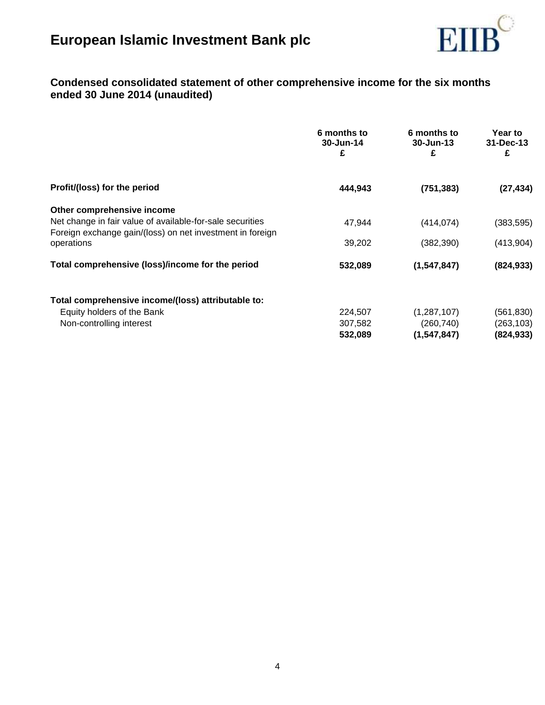

# **Condensed consolidated statement of other comprehensive income for the six months ended 30 June 2014 (unaudited)**

|                                                                                                                        | 6 months to<br>30-Jun-14<br>£ | 6 months to<br>30-Jun-13<br>£ | Year to<br>31-Dec-13<br>£ |
|------------------------------------------------------------------------------------------------------------------------|-------------------------------|-------------------------------|---------------------------|
| Profit/(loss) for the period                                                                                           | 444,943                       | (751, 383)                    | (27, 434)                 |
| Other comprehensive income                                                                                             |                               |                               |                           |
| Net change in fair value of available-for-sale securities<br>Foreign exchange gain/(loss) on net investment in foreign | 47,944                        | (414, 074)                    | (383, 595)                |
| operations                                                                                                             | 39,202                        | (382, 390)                    | (413,904)                 |
| Total comprehensive (loss)/income for the period                                                                       | 532,089                       | (1,547,847)                   | (824, 933)                |
| Total comprehensive income/(loss) attributable to:                                                                     |                               |                               |                           |
| Equity holders of the Bank                                                                                             | 224,507                       | (1, 287, 107)                 | (561,830)                 |
| Non-controlling interest                                                                                               | 307,582                       | (260, 740)                    | (263, 103)                |
|                                                                                                                        | 532,089                       | (1, 547, 847)                 | (824, 933)                |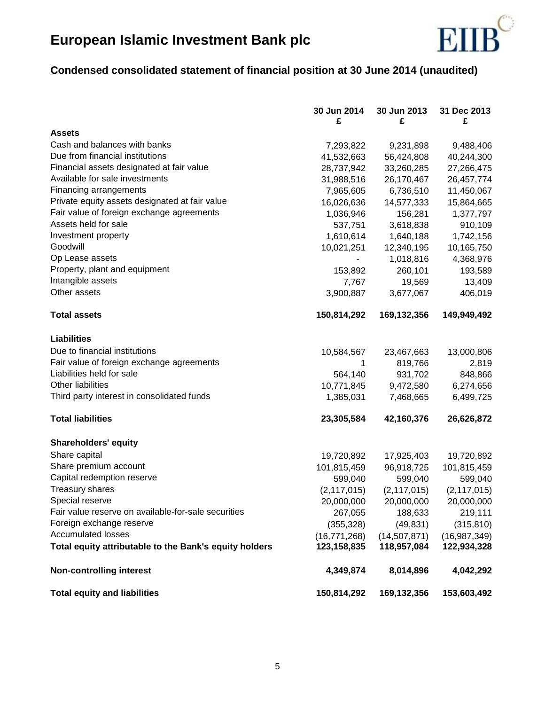

# **Condensed consolidated statement of financial position at 30 June 2014 (unaudited)**

|                                                                                             | 30 Jun 2014    | 30 Jun 2013   | 31 Dec 2013   |
|---------------------------------------------------------------------------------------------|----------------|---------------|---------------|
| <b>Assets</b>                                                                               | £              | £             | £             |
| Cash and balances with banks                                                                |                |               |               |
| Due from financial institutions                                                             | 7,293,822      | 9,231,898     | 9,488,406     |
| Financial assets designated at fair value                                                   | 41,532,663     | 56,424,808    | 40,244,300    |
| Available for sale investments                                                              | 28,737,942     | 33,260,285    | 27,266,475    |
|                                                                                             | 31,988,516     | 26,170,467    | 26,457,774    |
| Financing arrangements                                                                      | 7,965,605      | 6,736,510     | 11,450,067    |
| Private equity assets designated at fair value<br>Fair value of foreign exchange agreements | 16,026,636     | 14,577,333    | 15,864,665    |
| Assets held for sale                                                                        | 1,036,946      | 156,281       | 1,377,797     |
|                                                                                             | 537,751        | 3,618,838     | 910,109       |
| Investment property<br>Goodwill                                                             | 1,610,614      | 1,640,188     | 1,742,156     |
|                                                                                             | 10,021,251     | 12,340,195    | 10,165,750    |
| Op Lease assets                                                                             |                | 1,018,816     | 4,368,976     |
| Property, plant and equipment                                                               | 153,892        | 260,101       | 193,589       |
| Intangible assets                                                                           | 7,767          | 19,569        | 13,409        |
| Other assets                                                                                | 3,900,887      | 3,677,067     | 406,019       |
| <b>Total assets</b>                                                                         | 150,814,292    | 169,132,356   | 149,949,492   |
| <b>Liabilities</b>                                                                          |                |               |               |
| Due to financial institutions                                                               | 10,584,567     | 23,467,663    | 13,000,806    |
| Fair value of foreign exchange agreements                                                   | 1              | 819,766       | 2,819         |
| Liabilities held for sale                                                                   | 564,140        | 931,702       | 848,866       |
| Other liabilities                                                                           | 10,771,845     | 9,472,580     | 6,274,656     |
| Third party interest in consolidated funds                                                  | 1,385,031      | 7,468,665     | 6,499,725     |
|                                                                                             |                |               |               |
| <b>Total liabilities</b>                                                                    | 23,305,584     | 42,160,376    | 26,626,872    |
| <b>Shareholders' equity</b>                                                                 |                |               |               |
| Share capital                                                                               | 19,720,892     | 17,925,403    | 19,720,892    |
| Share premium account                                                                       | 101,815,459    | 96,918,725    | 101,815,459   |
| Capital redemption reserve                                                                  | 599,040        | 599,040       | 599,040       |
| <b>Treasury shares</b>                                                                      | (2, 117, 015)  | (2, 117, 015) | (2, 117, 015) |
| Special reserve                                                                             | 20,000,000     | 20,000,000    | 20,000,000    |
| Fair value reserve on available-for-sale securities                                         | 267,055        | 188,633       | 219,111       |
| Foreign exchange reserve                                                                    | (355, 328)     | (49, 831)     | (315, 810)    |
| <b>Accumulated losses</b>                                                                   | (16, 771, 268) | (14,507,871)  | (16,987,349)  |
| Total equity attributable to the Bank's equity holders                                      | 123,158,835    | 118,957,084   | 122,934,328   |
| <b>Non-controlling interest</b>                                                             | 4,349,874      | 8,014,896     | 4,042,292     |
| <b>Total equity and liabilities</b>                                                         | 150,814,292    | 169,132,356   | 153,603,492   |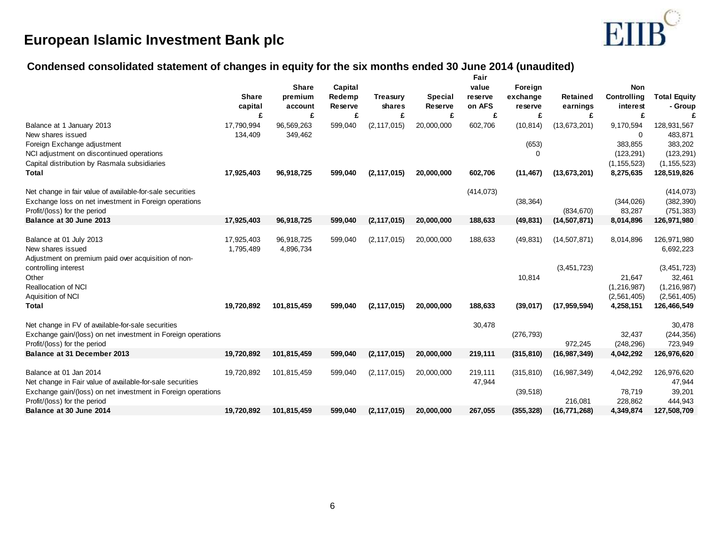

# **Condensed consolidated statement of changes in equity for the six months ended 30 June 2014 (unaudited)**

|                                                              |              |              |                |                 |                | Fair       |            |                |               |                     |
|--------------------------------------------------------------|--------------|--------------|----------------|-----------------|----------------|------------|------------|----------------|---------------|---------------------|
|                                                              |              | <b>Share</b> | Capital        |                 |                | value      | Foreign    |                | <b>Non</b>    |                     |
|                                                              | <b>Share</b> | premium      | Redemp         | <b>Treasury</b> | <b>Special</b> | reserve    | exchange   | Retained       | Controlling   | <b>Total Equity</b> |
|                                                              | capital      | account      | <b>Reserve</b> | shares          | Reserve        | on AFS     | reserve    | earnings       | interest      | - Group             |
|                                                              | £            | £            | £              | £               | £              | £          | £          | £              | £             |                     |
| Balance at 1 January 2013                                    | 17,790,994   | 96,569,263   | 599,040        | (2, 117, 015)   | 20,000,000     | 602,706    | (10, 814)  | (13, 673, 201) | 9,170,594     | 128,931,567         |
| New shares issued                                            | 134,409      | 349,462      |                |                 |                |            |            |                | 0             | 483,871             |
| Foreign Exchange adjustment                                  |              |              |                |                 |                |            | (653)      |                | 383,855       | 383,202             |
| NCI adjustment on discontinued operations                    |              |              |                |                 |                |            | $\Omega$   |                | (123, 291)    | (123, 291)          |
| Capital distribution by Rasmala subsidiaries                 |              |              |                |                 |                |            |            |                | (1, 155, 523) | (1, 155, 523)       |
| <b>Total</b>                                                 | 17,925,403   | 96,918,725   | 599,040        | (2, 117, 015)   | 20,000,000     | 602,706    | (11, 467)  | (13, 673, 201) | 8,275,635     | 128,519,826         |
| Net change in fair value of available-for-sale securities    |              |              |                |                 |                | (414, 073) |            |                |               | (414, 073)          |
| Exchange loss on net investment in Foreign operations        |              |              |                |                 |                |            | (38, 364)  |                | (344, 026)    | (382, 390)          |
| Profit/(loss) for the period                                 |              |              |                |                 |                |            |            | (834, 670)     | 83,287        | (751, 383)          |
| Balance at 30 June 2013                                      | 17,925,403   | 96,918,725   | 599,040        | (2, 117, 015)   | 20,000,000     | 188,633    | (49, 831)  | (14, 507, 871) | 8,014,896     | 126,971,980         |
|                                                              |              |              |                |                 |                |            |            |                |               |                     |
| Balance at 01 July 2013                                      | 17,925,403   | 96,918,725   | 599,040        | (2, 117, 015)   | 20,000,000     | 188,633    | (49, 831)  | (14, 507, 871) | 8,014,896     | 126,971,980         |
| New shares issued                                            | 1,795,489    | 4,896,734    |                |                 |                |            |            |                |               | 6,692,223           |
| Adjustment on premium paid over acquisition of non-          |              |              |                |                 |                |            |            |                |               |                     |
| controlling interest                                         |              |              |                |                 |                |            |            | (3, 451, 723)  |               | (3, 451, 723)       |
| Other                                                        |              |              |                |                 |                |            | 10,814     |                | 21,647        | 32,461              |
| <b>Reallocation of NCI</b>                                   |              |              |                |                 |                |            |            |                | (1, 216, 987) | (1, 216, 987)       |
| Aquisition of NCI                                            |              |              |                |                 |                |            |            |                | (2,561,405)   | (2, 561, 405)       |
| <b>Total</b>                                                 | 19,720,892   | 101,815,459  | 599,040        | (2, 117, 015)   | 20,000,000     | 188,633    | (39, 017)  | (17, 959, 594) | 4,258,151     | 126,466,549         |
| Net change in FV of available-for-sale securities            |              |              |                |                 |                | 30,478     |            |                |               | 30,478              |
| Exchange gain/(loss) on net investment in Foreign operations |              |              |                |                 |                |            | (276, 793) |                | 32,437        | (244, 356)          |
| Profit/(loss) for the period                                 |              |              |                |                 |                |            |            | 972,245        | (248, 296)    | 723,949             |
| Balance at 31 December 2013                                  | 19,720,892   | 101,815,459  | 599,040        | (2, 117, 015)   | 20,000,000     | 219,111    | (315, 810) | (16, 987, 349) | 4,042,292     | 126,976,620         |
|                                                              |              |              |                |                 |                |            |            |                |               |                     |
| Balance at 01 Jan 2014                                       | 19,720,892   | 101,815,459  | 599,040        | (2, 117, 015)   | 20,000,000     | 219,111    | (315, 810) | (16, 987, 349) | 4,042,292     | 126,976,620         |
| Net change in Fair value of available-for-sale securities    |              |              |                |                 |                | 47,944     |            |                |               | 47,944              |
| Exchange gain/(loss) on net investment in Foreign operations |              |              |                |                 |                |            | (39, 518)  |                | 78,719        | 39,201              |
| Profit/(loss) for the period                                 |              |              |                |                 |                |            |            | 216.081        | 228,862       | 444,943             |
| Balance at 30 June 2014                                      | 19,720,892   | 101,815,459  | 599,040        | (2, 117, 015)   | 20,000,000     | 267,055    | (355, 328) | (16, 771, 268) | 4,349,874     | 127,508,709         |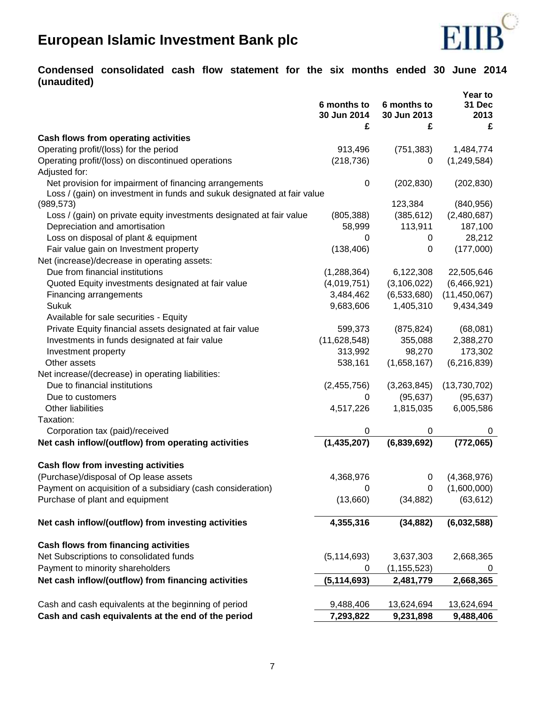

# **Condensed consolidated cash flow statement for the six months ended 30 June 2014 (unaudited)**

|                                                                         |                                 |                                 | Year to             |
|-------------------------------------------------------------------------|---------------------------------|---------------------------------|---------------------|
|                                                                         | 6 months to<br>30 Jun 2014<br>£ | 6 months to<br>30 Jun 2013<br>£ | 31 Dec<br>2013<br>£ |
| Cash flows from operating activities                                    |                                 |                                 |                     |
| Operating profit/(loss) for the period                                  | 913,496                         | (751, 383)                      | 1,484,774           |
| Operating profit/(loss) on discontinued operations                      | (218, 736)                      | 0                               | (1,249,584)         |
| Adjusted for:                                                           |                                 |                                 |                     |
| Net provision for impairment of financing arrangements                  | 0                               | (202, 830)                      | (202, 830)          |
| Loss / (gain) on investment in funds and sukuk designated at fair value |                                 |                                 |                     |
| (989, 573)                                                              |                                 | 123,384                         | (840, 956)          |
| Loss / (gain) on private equity investments designated at fair value    | (805, 388)                      | (385, 612)                      | (2,480,687)         |
| Depreciation and amortisation                                           | 58,999                          | 113,911                         | 187,100             |
| Loss on disposal of plant & equipment                                   | 0                               | 0                               | 28,212              |
| Fair value gain on Investment property                                  | (138, 406)                      | 0                               | (177,000)           |
| Net (increase)/decrease in operating assets:                            |                                 |                                 |                     |
| Due from financial institutions                                         | (1,288,364)                     | 6,122,308                       | 22,505,646          |
| Quoted Equity investments designated at fair value                      | (4,019,751)                     | (3, 106, 022)                   | (6,466,921)         |
| Financing arrangements                                                  | 3,484,462                       | (6,533,680)                     | (11, 450, 067)      |
| <b>Sukuk</b>                                                            | 9,683,606                       | 1,405,310                       | 9,434,349           |
| Available for sale securities - Equity                                  |                                 |                                 |                     |
| Private Equity financial assets designated at fair value                | 599,373                         | (875, 824)                      | (68,081)            |
| Investments in funds designated at fair value                           | (11,628,548)                    | 355,088                         | 2,388,270           |
| Investment property                                                     | 313,992                         | 98,270                          | 173,302             |
| Other assets                                                            | 538,161                         | (1,658,167)                     | (6,216,839)         |
| Net increase/(decrease) in operating liabilities:                       |                                 |                                 |                     |
| Due to financial institutions                                           | (2,455,756)                     | (3,263,845)                     | (13,730,702)        |
| Due to customers                                                        | 0                               | (95, 637)                       | (95, 637)           |
| Other liabilities                                                       | 4,517,226                       | 1,815,035                       | 6,005,586           |
| Taxation:                                                               |                                 |                                 |                     |
| Corporation tax (paid)/received                                         | 0                               | 0                               | 0                   |
| Net cash inflow/(outflow) from operating activities                     | (1,435,207)                     | (6,839,692)                     | (772,065)           |
| Cash flow from investing activities                                     |                                 |                                 |                     |
| (Purchase)/disposal of Op lease assets                                  | 4,368,976                       | 0                               | (4,368,976)         |
| Payment on acquisition of a subsidiary (cash consideration)             |                                 | $\mathbf{0}$                    | (1,600,000)         |
| Purchase of plant and equipment                                         | (13,660)                        | (34, 882)                       | (63, 612)           |
| Net cash inflow/(outflow) from investing activities                     | 4,355,316                       | (34, 882)                       | (6,032,588)         |
| Cash flows from financing activities                                    |                                 |                                 |                     |
| Net Subscriptions to consolidated funds                                 | (5, 114, 693)                   | 3,637,303                       | 2,668,365           |
| Payment to minority shareholders                                        | 0                               | (1, 155, 523)                   | 0                   |
| Net cash inflow/(outflow) from financing activities                     | (5, 114, 693)                   | 2,481,779                       | 2,668,365           |
| Cash and cash equivalents at the beginning of period                    | 9,488,406                       | 13,624,694                      | 13,624,694          |
| Cash and cash equivalents at the end of the period                      | 7,293,822                       | 9,231,898                       | 9,488,406           |